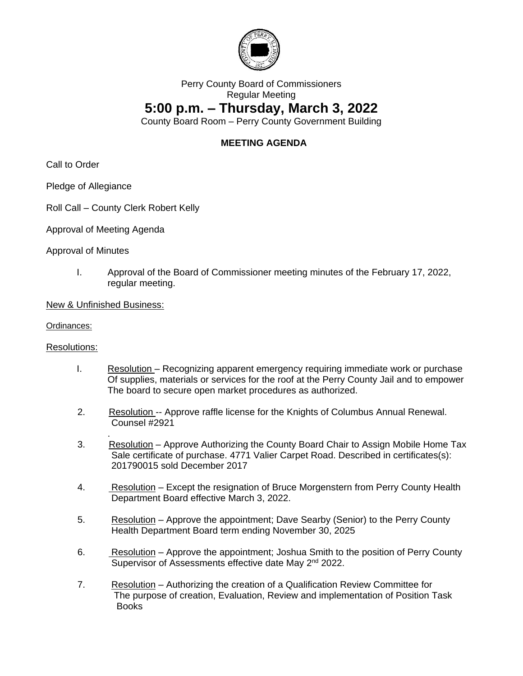

## Perry County Board of Commissioners Regular Meeting

## **5:00 p.m. – Thursday, March 3, 2022**

County Board Room – Perry County Government Building

## **MEETING AGENDA**

Call to Order

Pledge of Allegiance

- Roll Call County Clerk Robert Kelly
- Approval of Meeting Agenda

Approval of Minutes

I. Approval of the Board of Commissioner meeting minutes of the February 17, 2022, regular meeting.

New & Unfinished Business:

.

Ordinances:

Resolutions:

- I. Resolution Recognizing apparent emergency requiring immediate work or purchase Of supplies, materials or services for the roof at the Perry County Jail and to empower The board to secure open market procedures as authorized.
- 2. Resolution -- Approve raffle license for the Knights of Columbus Annual Renewal. Counsel #2921
- 3. Resolution Approve Authorizing the County Board Chair to Assign Mobile Home Tax Sale certificate of purchase. 4771 Valier Carpet Road. Described in certificates(s): 201790015 sold December 2017
- 4. Resolution Except the resignation of Bruce Morgenstern from Perry County Health Department Board effective March 3, 2022.
- 5. Resolution Approve the appointment; Dave Searby (Senior) to the Perry County Health Department Board term ending November 30, 2025
- 6. Resolution Approve the appointment; Joshua Smith to the position of Perry County Supervisor of Assessments effective date May 2<sup>nd</sup> 2022.
- 7. Resolution Authorizing the creation of a Qualification Review Committee for The purpose of creation, Evaluation, Review and implementation of Position Task Books